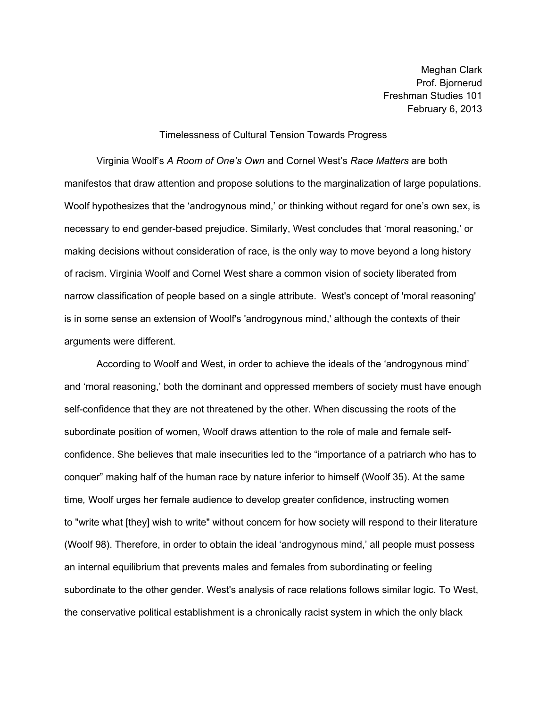Meghan Clark Prof. Bjornerud Freshman Studies 101 February 6, 2013

## Timelessness of Cultural Tension Towards Progress

Virginia Woolf's *A Room of One's Own* and Cornel West's *Race Matters* are both manifestos that draw attention and propose solutions to the marginalization of large populations. Woolf hypothesizes that the 'androgynous mind,' or thinking without regard for one's own sex, is necessary to end gender-based prejudice. Similarly, West concludes that 'moral reasoning,' or making decisions without consideration of race, is the only way to move beyond a long history of racism. Virginia Woolf and Cornel West share a common vision of society liberated from narrow classification of people based on a single attribute. West's concept of 'moral reasoning' is in some sense an extension of Woolf's 'androgynous mind,' although the contexts of their arguments were different.

According to Woolf and West, in order to achieve the ideals of the 'androgynous mind' and 'moral reasoning,' both the dominant and oppressed members of society must have enough self-confidence that they are not threatened by the other. When discussing the roots of the subordinate position of women, Woolf draws attention to the role of male and female selfconfidence. She believes that male insecurities led to the "importance of a patriarch who has to conquer" making half of the human race by nature inferior to himself (Woolf 35). At the same time*,* Woolf urges her female audience to develop greater confidence, instructing women to "write what [they] wish to write" without concern for how society will respond to their literature (Woolf 98). Therefore, in order to obtain the ideal 'androgynous mind,' all people must possess an internal equilibrium that prevents males and females from subordinating or feeling subordinate to the other gender. West's analysis of race relations follows similar logic*.* To West, the conservative political establishment is a chronically racist system in which the only black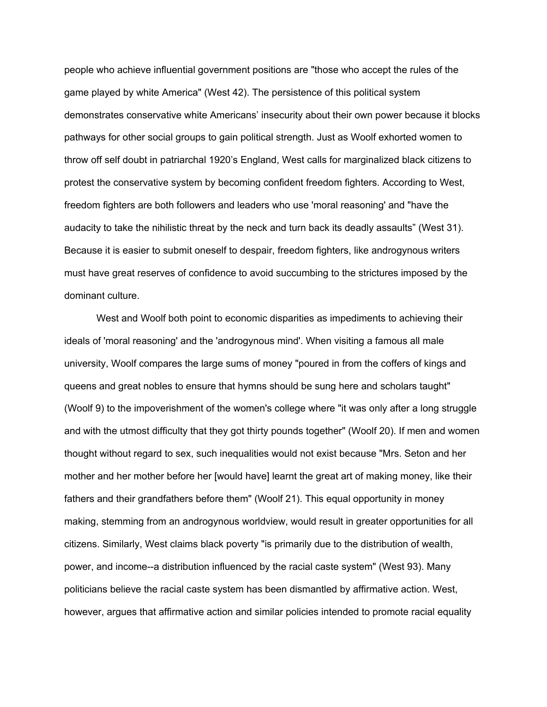people who achieve influential government positions are "those who accept the rules of the game played by white America" (West 42). The persistence of this political system demonstrates conservative white Americans' insecurity about their own power because it blocks pathways for other social groups to gain political strength. Just as Woolf exhorted women to throw off self doubt in patriarchal 1920's England, West calls for marginalized black citizens to protest the conservative system by becoming confident freedom fighters. According to West, freedom fighters are both followers and leaders who use 'moral reasoning' and "have the audacity to take the nihilistic threat by the neck and turn back its deadly assaults" (West 31). Because it is easier to submit oneself to despair, freedom fighters, like androgynous writers must have great reserves of confidence to avoid succumbing to the strictures imposed by the dominant culture.

West and Woolf both point to economic disparities as impediments to achieving their ideals of 'moral reasoning' and the 'androgynous mind'. When visiting a famous all male university, Woolf compares the large sums of money "poured in from the coffers of kings and queens and great nobles to ensure that hymns should be sung here and scholars taught" (Woolf 9) to the impoverishment of the women's college where "it was only after a long struggle and with the utmost difficulty that they got thirty pounds together" (Woolf 20). If men and women thought without regard to sex, such inequalities would not exist because "Mrs. Seton and her mother and her mother before her [would have] learnt the great art of making money, like their fathers and their grandfathers before them" (Woolf 21). This equal opportunity in money making, stemming from an androgynous worldview, would result in greater opportunities for all citizens. Similarly, West claims black poverty "is primarily due to the distribution of wealth, power, and income--a distribution influenced by the racial caste system" (West 93). Many politicians believe the racial caste system has been dismantled by affirmative action. West, however, argues that affirmative action and similar policies intended to promote racial equality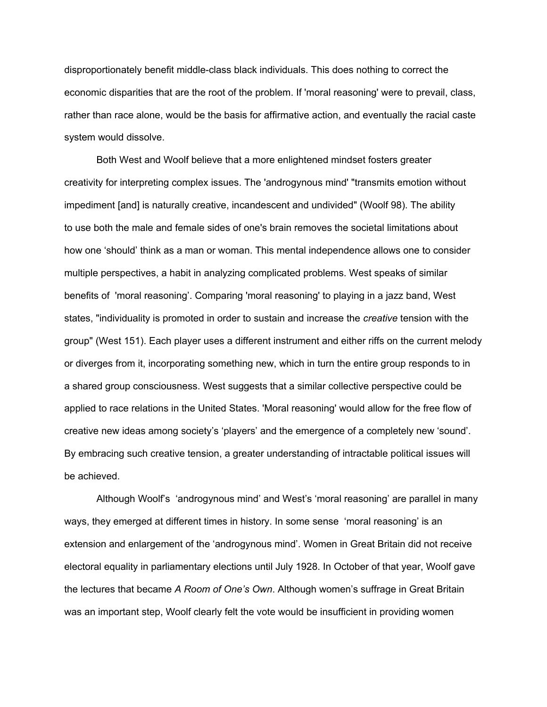disproportionately benefit middle-class black individuals. This does nothing to correct the economic disparities that are the root of the problem. If 'moral reasoning' were to prevail, class, rather than race alone, would be the basis for affirmative action, and eventually the racial caste system would dissolve.

Both West and Woolf believe that a more enlightened mindset fosters greater creativity for interpreting complex issues. The 'androgynous mind' "transmits emotion without impediment [and] is naturally creative, incandescent and undivided" (Woolf 98). The ability to use both the male and female sides of one's brain removes the societal limitations about how one 'should' think as a man or woman. This mental independence allows one to consider multiple perspectives, a habit in analyzing complicated problems. West speaks of similar benefits of 'moral reasoning'. Comparing 'moral reasoning' to playing in a jazz band, West states, "individuality is promoted in order to sustain and increase the *creative* tension with the group" (West 151). Each player uses a different instrument and either riffs on the current melody or diverges from it, incorporating something new, which in turn the entire group responds to in a shared group consciousness. West suggests that a similar collective perspective could be applied to race relations in the United States. 'Moral reasoning' would allow for the free flow of creative new ideas among society's 'players' and the emergence of a completely new 'sound'. By embracing such creative tension, a greater understanding of intractable political issues will be achieved.

Although Woolf's 'androgynous mind' and West's 'moral reasoning' are parallel in many ways, they emerged at different times in history. In some sense 'moral reasoning' is an extension and enlargement of the 'androgynous mind'. Women in Great Britain did not receive electoral equality in parliamentary elections until July 1928. In October of that year, Woolf gave the lectures that became *A Room of One's Own*. Although women's suffrage in Great Britain was an important step, Woolf clearly felt the vote would be insufficient in providing women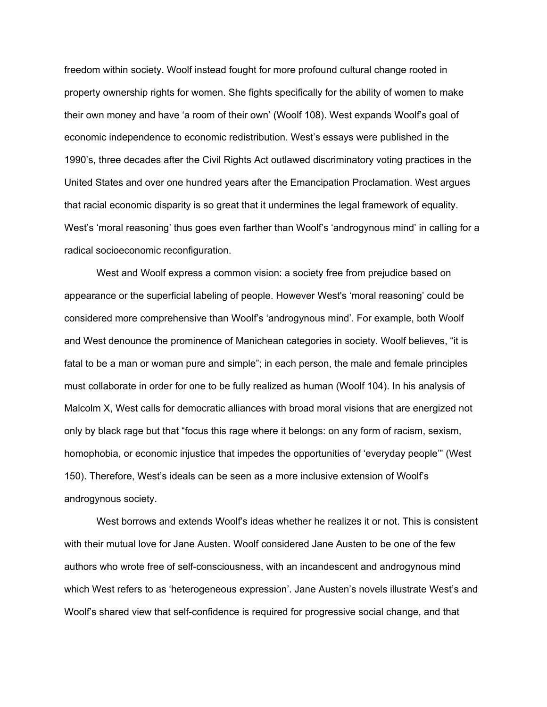freedom within society. Woolf instead fought for more profound cultural change rooted in property ownership rights for women. She fights specifically for the ability of women to make their own money and have 'a room of their own' (Woolf 108). West expands Woolf's goal of economic independence to economic redistribution. West's essays were published in the 1990's, three decades after the Civil Rights Act outlawed discriminatory voting practices in the United States and over one hundred years after the Emancipation Proclamation. West argues that racial economic disparity is so great that it undermines the legal framework of equality. West's 'moral reasoning' thus goes even farther than Woolf's 'androgynous mind' in calling for a radical socioeconomic reconfiguration.

West and Woolf express a common vision: a society free from prejudice based on appearance or the superficial labeling of people. However West's 'moral reasoning' could be considered more comprehensive than Woolf's 'androgynous mind'. For example, both Woolf and West denounce the prominence of Manichean categories in society. Woolf believes, "it is fatal to be a man or woman pure and simple"; in each person, the male and female principles must collaborate in order for one to be fully realized as human (Woolf 104). In his analysis of Malcolm X, West calls for democratic alliances with broad moral visions that are energized not only by black rage but that "focus this rage where it belongs: on any form of racism, sexism, homophobia, or economic injustice that impedes the opportunities of 'everyday people'" (West 150). Therefore, West's ideals can be seen as a more inclusive extension of Woolf's androgynous society.

West borrows and extends Woolf's ideas whether he realizes it or not. This is consistent with their mutual love for Jane Austen. Woolf considered Jane Austen to be one of the few authors who wrote free of self-consciousness, with an incandescent and androgynous mind which West refers to as 'heterogeneous expression'. Jane Austen's novels illustrate West's and Woolf's shared view that self-confidence is required for progressive social change, and that